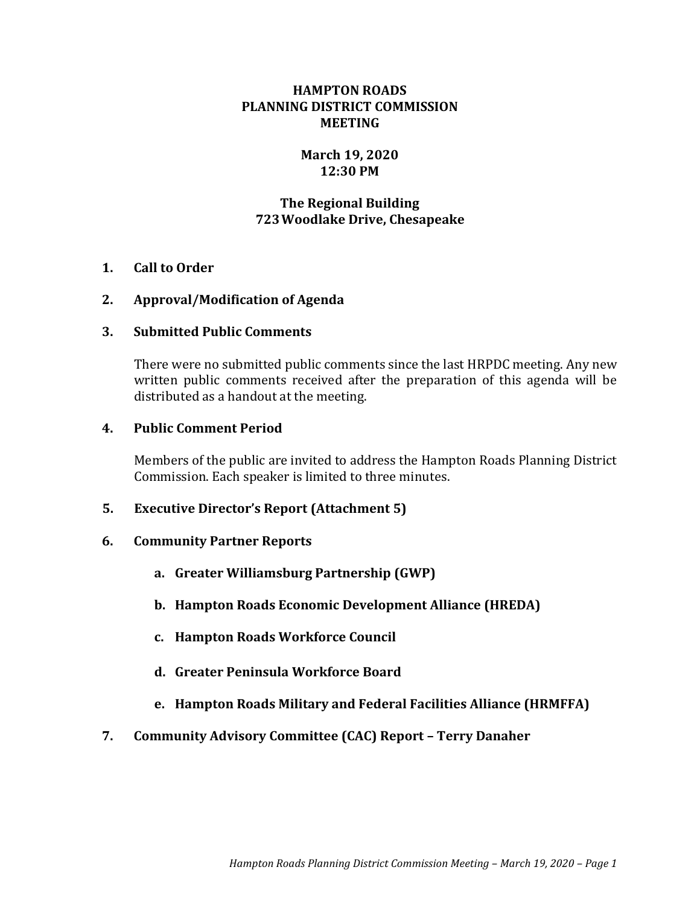#### **HAMPTON ROADS PLANNING DISTRICT COMMISSION MEETING**

# **March 19, 2020 12:30 PM**

# **The Regional Building 723Woodlake Drive, Chesapeake**

## **1. Call to Order**

## **2. Approval/Modification of Agenda**

## **3. Submitted Public Comments**

There were no submitted public comments since the last HRPDC meeting. Any new written public comments received after the preparation of this agenda will be distributed as a handout at the meeting.

## **4. Public Comment Period**

Members of the public are invited to address the Hampton Roads Planning District Commission. Each speaker is limited to three minutes.

## **5. Executive Director's Report (Attachment 5)**

## **6. Community Partner Reports**

- **a. Greater Williamsburg Partnership (GWP)**
- **b. Hampton Roads Economic Development Alliance (HREDA)**
- **c. Hampton Roads Workforce Council**
- **d. Greater Peninsula Workforce Board**
- **e. Hampton Roads Military and Federal Facilities Alliance (HRMFFA)**
- **7. Community Advisory Committee (CAC) Report – Terry Danaher**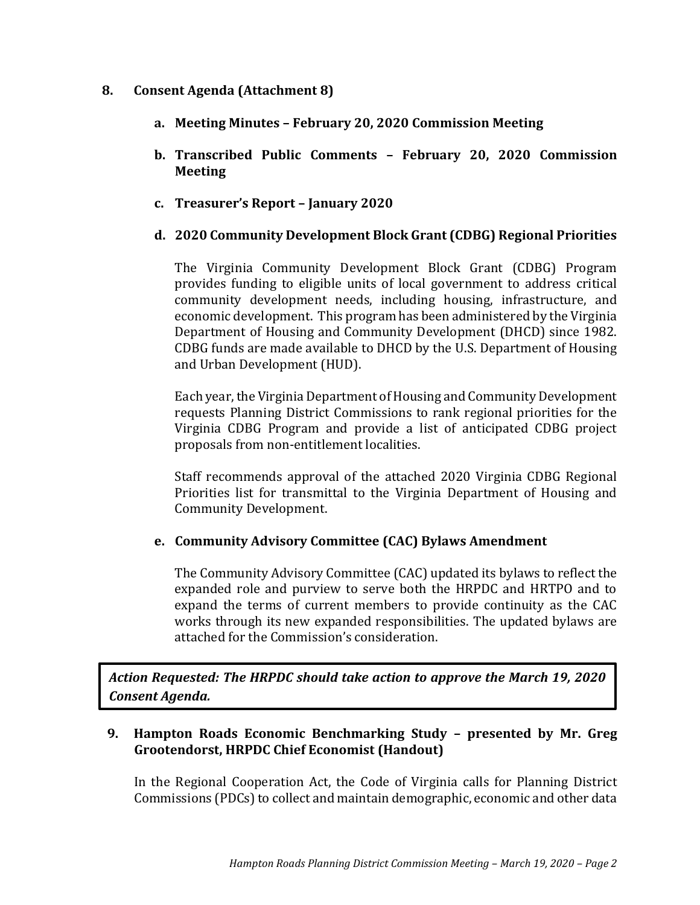#### **8. Consent Agenda (Attachment 8)**

- **a. Meeting Minutes – February 20, 2020 Commission Meeting**
- **b. Transcribed Public Comments – February 20, 2020 Commission Meeting**
- **c. Treasurer's Report – January 2020**

#### **d. 2020 Community Development Block Grant (CDBG) Regional Priorities**

The Virginia Community Development Block Grant (CDBG) Program provides funding to eligible units of local government to address critical community development needs, including housing, infrastructure, and economic development. This program has been administered by the Virginia Department of Housing and Community Development (DHCD) since 1982. CDBG funds are made available to DHCD by the U.S. Department of Housing and Urban Development (HUD).

Each year, the Virginia Department of Housing and Community Development requests Planning District Commissions to rank regional priorities for the Virginia CDBG Program and provide a list of anticipated CDBG project proposals from non-entitlement localities.

Staff recommends approval of the attached 2020 Virginia CDBG Regional Priorities list for transmittal to the Virginia Department of Housing and Community Development.

## **e. Community Advisory Committee (CAC) Bylaws Amendment**

The Community Advisory Committee (CAC) updated its bylaws to reflect the expanded role and purview to serve both the HRPDC and HRTPO and to expand the terms of current members to provide continuity as the CAC works through its new expanded responsibilities. The updated bylaws are attached for the Commission's consideration.

*Action Requested: The HRPDC should take action to approve the March 19, 2020 Consent Agenda.*

#### **9. Hampton Roads Economic Benchmarking Study – presented by Mr. Greg Grootendorst, HRPDC Chief Economist (Handout)**

In the Regional Cooperation Act, the Code of Virginia calls for Planning District Commissions (PDCs) to collect and maintain demographic, economic and other data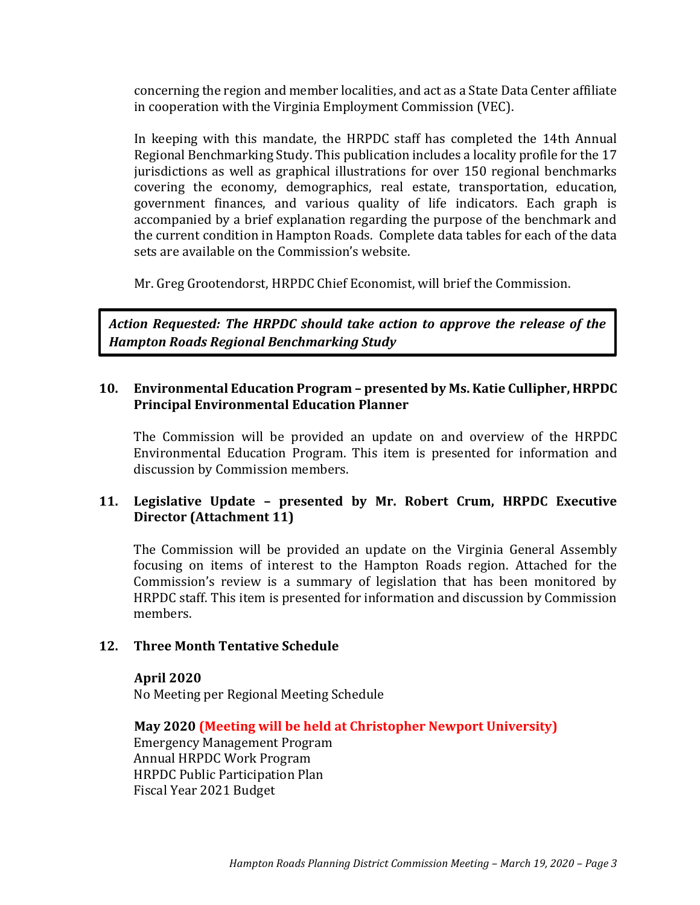concerning the region and member localities, and act as a State Data Center affiliate in cooperation with the Virginia Employment Commission (VEC).

In keeping with this mandate, the HRPDC staff has completed the 14th Annual Regional Benchmarking Study. This publication includes a locality profile for the 17 jurisdictions as well as graphical illustrations for over 150 regional benchmarks covering the economy, demographics, real estate, transportation, education, government finances, and various quality of life indicators. Each graph is accompanied by a brief explanation regarding the purpose of the benchmark and the current condition in Hampton Roads. Complete data tables for each of the data sets are available on the Commission's website.

Mr. Greg Grootendorst, HRPDC Chief Economist, will brief the Commission.

*Action Requested: The HRPDC should take action to approve the release of the Hampton Roads Regional Benchmarking Study*

# **10. Environmental Education Program – presented by Ms. Katie Cullipher, HRPDC Principal Environmental Education Planner**

The Commission will be provided an update on and overview of the HRPDC Environmental Education Program. This item is presented for information and discussion by Commission members.

# **11. Legislative Update – presented by Mr. Robert Crum, HRPDC Executive Director (Attachment 11)**

The Commission will be provided an update on the Virginia General Assembly focusing on items of interest to the Hampton Roads region. Attached for the Commission's review is a summary of legislation that has been monitored by HRPDC staff. This item is presented for information and discussion by Commission members.

## **12. Three Month Tentative Schedule**

#### **April 2020**

No Meeting per Regional Meeting Schedule

**May 2020 (Meeting will be held at Christopher Newport University)** 

Emergency Management Program Annual HRPDC Work Program HRPDC Public Participation Plan Fiscal Year 2021 Budget